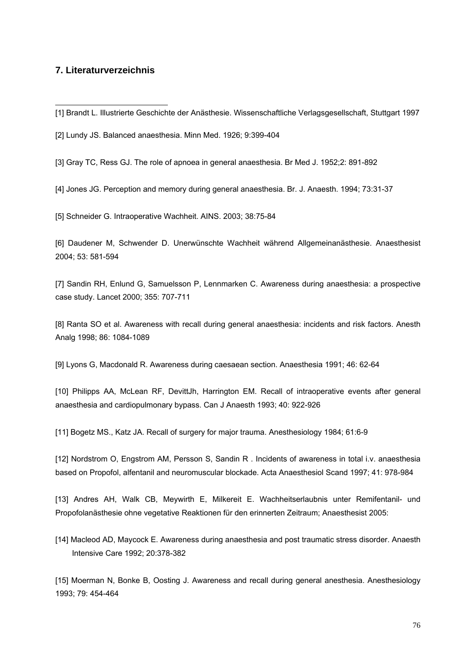## **7. Literaturverzeichnis**

-

[2] Lundy JS. Balanced anaesthesia. Minn Med. 1926; 9:399-404

[3] Gray TC, Ress GJ. The role of apnoea in general anaesthesia. Br Med J. 1952;2: 891-892

[4] Jones JG. Perception and memory during general anaesthesia. Br. J. Anaesth. 1994; 73:31-37

[5] Schneider G. Intraoperative Wachheit. AINS. 2003; 38:75-84

[6] Daudener M, Schwender D. Unerwünschte Wachheit während Allgemeinanästhesie. Anaesthesist 2004; 53: 581-594

[7] Sandin RH, Enlund G, Samuelsson P, Lennmarken C. Awareness during anaesthesia: a prospective case study. Lancet 2000; 355: 707-711

[8] Ranta SO et al. Awareness with recall during general anaesthesia: incidents and risk factors. Anesth Analg 1998; 86: 1084-1089

[9] Lyons G, Macdonald R. Awareness during caesaean section. Anaesthesia 1991; 46: 62-64

[10] Philipps AA, McLean RF, DevittJh, Harrington EM. Recall of intraoperative events after general anaesthesia and cardiopulmonary bypass. Can J Anaesth 1993; 40: 922-926

[11] Bogetz MS., Katz JA. Recall of surgery for major trauma. Anesthesiology 1984; 61:6-9

[12] Nordstrom O, Engstrom AM, Persson S, Sandin R . Incidents of awareness in total i.v. anaesthesia based on Propofol, alfentanil and neuromuscular blockade. Acta Anaesthesiol Scand 1997; 41: 978-984

[13] Andres AH, Walk CB, Meywirth E, Milkereit E. Wachheitserlaubnis unter Remifentanil- und Propofolanästhesie ohne vegetative Reaktionen für den erinnerten Zeitraum; Anaesthesist 2005:

[14] Macleod AD, Maycock E. Awareness during anaesthesia and post traumatic stress disorder. Anaesth Intensive Care 1992; 20:378-382

[15] Moerman N, Bonke B, Oosting J. Awareness and recall during general anesthesia. Anesthesiology 1993; 79: 454-464

<sup>[1]</sup> Brandt L. Illustrierte Geschichte der Anästhesie. Wissenschaftliche Verlagsgesellschaft, Stuttgart 1997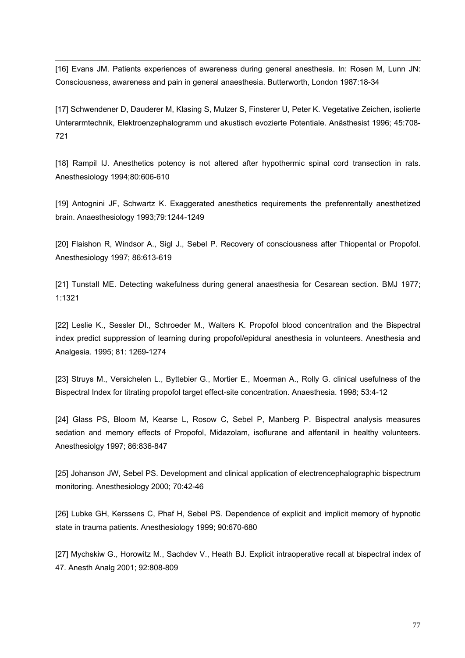[16] Evans JM. Patients experiences of awareness during general anesthesia. In: Rosen M, Lunn JN: Consciousness, awareness and pain in general anaesthesia. Butterworth, London 1987:18-34

1

[17] Schwendener D, Dauderer M, Klasing S, Mulzer S, Finsterer U, Peter K. Vegetative Zeichen, isolierte Unterarmtechnik, Elektroenzephalogramm und akustisch evozierte Potentiale. Anästhesist 1996; 45:708- 721

[18] Rampil IJ. Anesthetics potency is not altered after hypothermic spinal cord transection in rats. Anesthesiology 1994;80:606-610

[19] Antognini JF, Schwartz K. Exaggerated anesthetics requirements the prefenrentally anesthetized brain. Anaesthesiology 1993;79:1244-1249

[20] Flaishon R, Windsor A., Sigl J., Sebel P. Recovery of consciousness after Thiopental or Propofol. Anesthesiology 1997; 86:613-619

[21] Tunstall ME. Detecting wakefulness during general anaesthesia for Cesarean section. BMJ 1977; 1:1321

[22] Leslie K., Sessler DI., Schroeder M., Walters K. Propofol blood concentration and the Bispectral index predict suppression of learning during propofol/epidural anesthesia in volunteers. Anesthesia and Analgesia. 1995; 81: 1269-1274

[23] Struys M., Versichelen L., Byttebier G., Mortier E., Moerman A., Rolly G. clinical usefulness of the Bispectral Index for titrating propofol target effect-site concentration. Anaesthesia. 1998; 53:4-12

[24] Glass PS, Bloom M, Kearse L, Rosow C, Sebel P, Manberg P. Bispectral analysis measures sedation and memory effects of Propofol, Midazolam, isoflurane and alfentanil in healthy volunteers. Anesthesiolgy 1997; 86:836-847

[25] Johanson JW, Sebel PS. Development and clinical application of electrencephalographic bispectrum monitoring. Anesthesiology 2000; 70:42-46

[26] Lubke GH, Kerssens C, Phaf H, Sebel PS. Dependence of explicit and implicit memory of hypnotic state in trauma patients. Anesthesiology 1999; 90:670-680

[27] Mychskiw G., Horowitz M., Sachdev V., Heath BJ. Explicit intraoperative recall at bispectral index of 47. Anesth Analg 2001; 92:808-809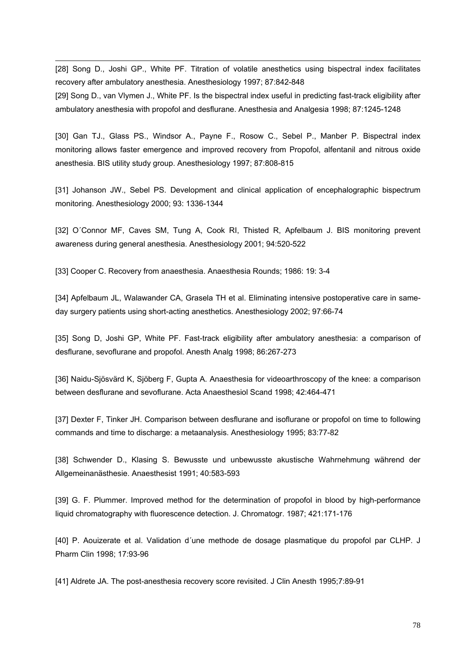[28] Song D., Joshi GP., White PF. Titration of volatile anesthetics using bispectral index facilitates recovery after ambulatory anesthesia. Anesthesiology 1997; 87:842-848 [29] Song D., van Vlymen J., White PF. Is the bispectral index useful in predicting fast-track eligibility after ambulatory anesthesia with propofol and desflurane. Anesthesia and Analgesia 1998; 87:1245-1248

[30] Gan TJ., Glass PS., Windsor A., Payne F., Rosow C., Sebel P., Manber P. Bispectral index monitoring allows faster emergence and improved recovery from Propofol, alfentanil and nitrous oxide anesthesia. BIS utility study group. Anesthesiology 1997; 87:808-815

[31] Johanson JW., Sebel PS. Development and clinical application of encephalographic bispectrum monitoring. Anesthesiology 2000; 93: 1336-1344

[32] O´Connor MF, Caves SM, Tung A, Cook RI, Thisted R, Apfelbaum J. BIS monitoring prevent awareness during general anesthesia. Anesthesiology 2001; 94:520-522

[33] Cooper C. Recovery from anaesthesia. Anaesthesia Rounds; 1986: 19: 3-4

1

[34] Apfelbaum JL, Walawander CA, Grasela TH et al. Eliminating intensive postoperative care in sameday surgery patients using short-acting anesthetics. Anesthesiology 2002; 97:66-74

[35] Song D, Joshi GP, White PF. Fast-track eligibility after ambulatory anesthesia: a comparison of desflurane, sevoflurane and propofol. Anesth Analg 1998; 86:267-273

[36] Naidu-Sjösvärd K, Sjöberg F, Gupta A. Anaesthesia for videoarthroscopy of the knee: a comparison between desflurane and sevoflurane. Acta Anaesthesiol Scand 1998; 42:464-471

[37] Dexter F, Tinker JH. Comparison between desflurane and isoflurane or propofol on time to following commands and time to discharge: a metaanalysis. Anesthesiology 1995; 83:77-82

[38] Schwender D., Klasing S. Bewusste und unbewusste akustische Wahrnehmung während der Allgemeinanästhesie. Anaesthesist 1991; 40:583-593

[39] G. F. Plummer. Improved method for the determination of propofol in blood by high-performance liquid chromatography with fluorescence detection. J. Chromatogr. 1987; 421:171-176

[40] P. Aouizerate et al. Validation d´une methode de dosage plasmatique du propofol par CLHP. J Pharm Clin 1998; 17:93-96

[41] Aldrete JA. The post-anesthesia recovery score revisited. J Clin Anesth 1995;7:89-91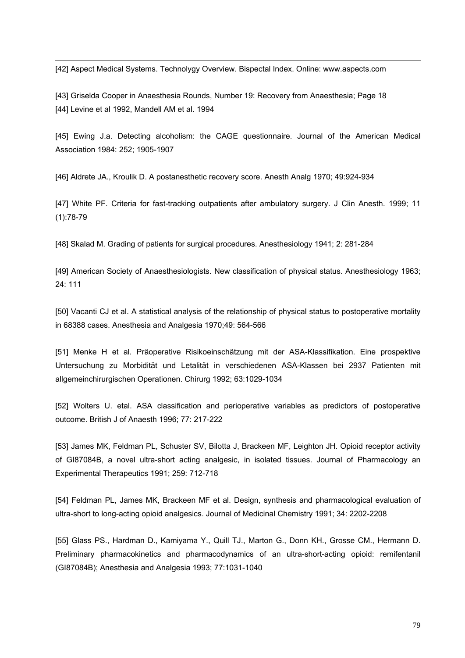[42] Aspect Medical Systems. Technolygy Overview. Bispectal Index. Online: www.aspects.com

1

[43] Griselda Cooper in Anaesthesia Rounds, Number 19: Recovery from Anaesthesia; Page 18 [44] Levine et al 1992, Mandell AM et al. 1994

[45] Ewing J.a. Detecting alcoholism: the CAGE questionnaire. Journal of the American Medical Association 1984: 252; 1905-1907

[46] Aldrete JA., Kroulik D. A postanesthetic recovery score. Anesth Analg 1970; 49:924-934

[47] White PF. Criteria for fast-tracking outpatients after ambulatory surgery. J Clin Anesth. 1999; 11 (1):78-79

[48] Skalad M. Grading of patients for surgical procedures. Anesthesiology 1941; 2: 281-284

[49] American Society of Anaesthesiologists. New classification of physical status. Anesthesiology 1963; 24: 111

[50] Vacanti CJ et al. A statistical analysis of the relationship of physical status to postoperative mortality in 68388 cases. Anesthesia and Analgesia 1970;49: 564-566

[51] Menke H et al. Präoperative Risikoeinschätzung mit der ASA-Klassifikation. Eine prospektive Untersuchung zu Morbidität und Letalität in verschiedenen ASA-Klassen bei 2937 Patienten mit allgemeinchirurgischen Operationen. Chirurg 1992; 63:1029-1034

[52] Wolters U. etal. ASA classification and perioperative variables as predictors of postoperative outcome. British J of Anaesth 1996; 77: 217-222

[53] James MK, Feldman PL, Schuster SV, Bilotta J, Brackeen MF, Leighton JH. Opioid receptor activity of GI87084B, a novel ultra-short acting analgesic, in isolated tissues. Journal of Pharmacology an Experimental Therapeutics 1991; 259: 712-718

[54] Feldman PL, James MK, Brackeen MF et al. Design, synthesis and pharmacological evaluation of ultra-short to long-acting opioid analgesics. Journal of Medicinal Chemistry 1991; 34: 2202-2208

[55] Glass PS., Hardman D., Kamiyama Y., Quill TJ., Marton G., Donn KH., Grosse CM., Hermann D. Preliminary pharmacokinetics and pharmacodynamics of an ultra-short-acting opioid: remifentanil (GI87084B); Anesthesia and Analgesia 1993; 77:1031-1040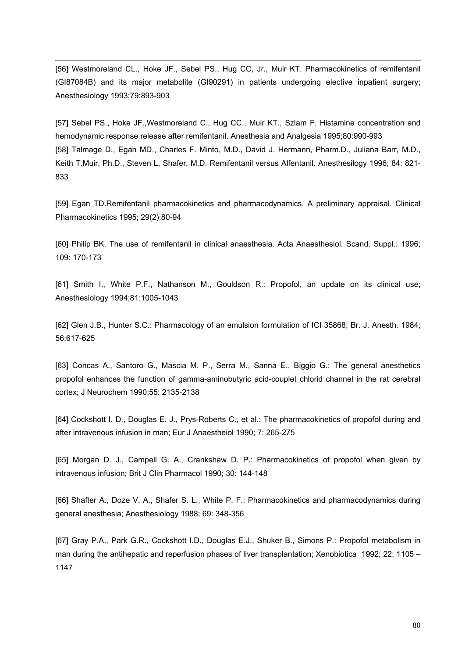[56] Westmoreland CL., Hoke JF., Sebel PS., Hug CC, Jr., Muir KT. Pharmacokinetics of remifentanil (GI87084B) and its major metabolite (GI90291) in patients undergoing elective inpatient surgery; Anesthesiology 1993;79:893-903

1

[57] Sebel PS., Hoke JF.,Westmoreland C., Hug CC., Muir KT., Szlam F. Histamine concentration and hemodynamic response release after remifentanil. Anesthesia and Analgesia 1995;80:990-993 [58] Talmage D., Egan MD., Charles F. Minto, M.D., David J. Hermann, Pharm.D., Juliana Barr, M.D., Keith T.Muir, Ph.D., Steven L. Shafer, M.D. Remifentanil versus Alfentanil. Anesthesilogy 1996; 84: 821- 833

[59] Egan TD.Remifentanil pharmacokinetics and pharmacodynamics. A preliminary appraisal. Clinical Pharmacokinetics 1995; 29(2):80-94

[60] Philip BK. The use of remifentanil in clinical anaesthesia. Acta Anaesthesiol. Scand. Suppl.: 1996; 109: 170-173

[61] Smith I., White P.F., Nathanson M., Gouldson R.: Propofol, an update on its clinical use; Anesthesiology 1994;81:1005-1043

[62] Glen J.B., Hunter S.C.: Pharmacology of an emulsion formulation of ICI 35868; Br. J. Anesth. 1984; 56:617-625

[63] Concas A., Santoro G., Mascia M. P., Serra M., Sanna E., Biggio G.: The general anesthetics propofol enhances the function of gamma-aminobutyric acid-couplet chlorid channel in the rat cerebral cortex; J Neurochem 1990;55: 2135-2138

[64] Cockshott I. D., Douglas E. J., Prys-Roberts C., et al.: The pharmacokinetics of propofol during and after intravenous infusion in man; Eur J Anaestheiol 1990; 7: 265-275

[65] Morgan D. J., Campell G. A., Crankshaw D. P.: Pharmacokinetics of propofol when given by intravenous infusion; Brit J Clin Pharmacol 1990; 30: 144-148

[66] Shafter A., Doze V. A., Shafer S. L., White P. F.: Pharmacokinetics and pharmacodynamics during general anesthesia; Anesthesiology 1988; 69: 348-356

[67] Gray P.A., Park G.R., Cockshott I.D., Douglas E.J., Shuker B., Simons P.: Propofol metabolism in man during the antihepatic and reperfusion phases of liver transplantation; Xenobiotica 1992; 22: 1105 – 1147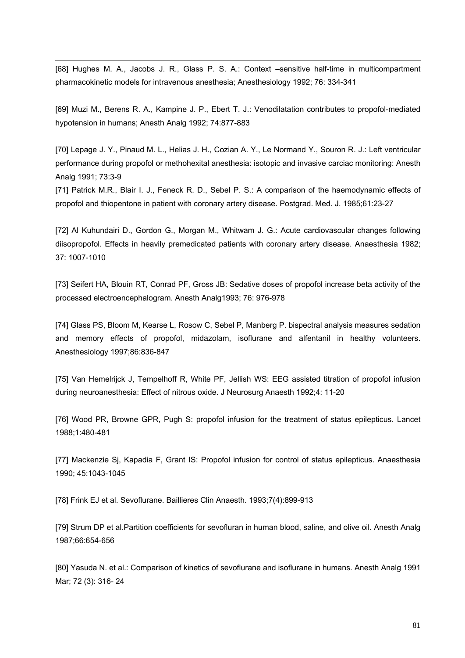[68] Hughes M. A., Jacobs J. R., Glass P. S. A.: Context –sensitive half-time in multicompartment pharmacokinetic models for intravenous anesthesia; Anesthesiology 1992; 76: 334-341

1

[69] Muzi M., Berens R. A., Kampine J. P., Ebert T. J.: Venodilatation contributes to propofol-mediated hypotension in humans; Anesth Analg 1992; 74:877-883

[70] Lepage J. Y., Pinaud M. L., Helias J. H., Cozian A. Y., Le Normand Y., Souron R. J.: Left ventricular performance during propofol or methohexital anesthesia: isotopic and invasive carciac monitoring: Anesth Analg 1991; 73:3-9

[71] Patrick M.R., Blair I. J., Feneck R. D., Sebel P. S.: A comparison of the haemodynamic effects of propofol and thiopentone in patient with coronary artery disease. Postgrad. Med. J. 1985;61:23-27

[72] Al Kuhundairi D., Gordon G., Morgan M., Whitwam J. G.: Acute cardiovascular changes following diisopropofol. Effects in heavily premedicated patients with coronary artery disease. Anaesthesia 1982; 37: 1007-1010

[73] Seifert HA, Blouin RT, Conrad PF, Gross JB: Sedative doses of propofol increase beta activity of the processed electroencephalogram. Anesth Analg1993; 76: 976-978

[74] Glass PS, Bloom M, Kearse L, Rosow C, Sebel P, Manberg P. bispectral analysis measures sedation and memory effects of propofol, midazolam, isoflurane and alfentanil in healthy volunteers. Anesthesiology 1997;86:836-847

[75] Van Hemelrijck J, Tempelhoff R, White PF, Jellish WS: EEG assisted titration of propofol infusion during neuroanesthesia: Effect of nitrous oxide. J Neurosurg Anaesth 1992;4: 11-20

[76] Wood PR, Browne GPR, Pugh S: propofol infusion for the treatment of status epilepticus. Lancet 1988;1:480-481

[77] Mackenzie Sj, Kapadia F, Grant IS: Propofol infusion for control of status epilepticus. Anaesthesia 1990; 45:1043-1045

[78] Frink EJ et al. Sevoflurane. Baillieres Clin Anaesth. 1993;7(4):899-913

[79] Strum DP et al.Partition coefficients for sevofluran in human blood, saline, and olive oil. Anesth Analg 1987;66:654-656

[80] Yasuda N. et al.: Comparison of kinetics of sevoflurane and isoflurane in humans. Anesth Analg 1991 Mar; 72 (3): 316- 24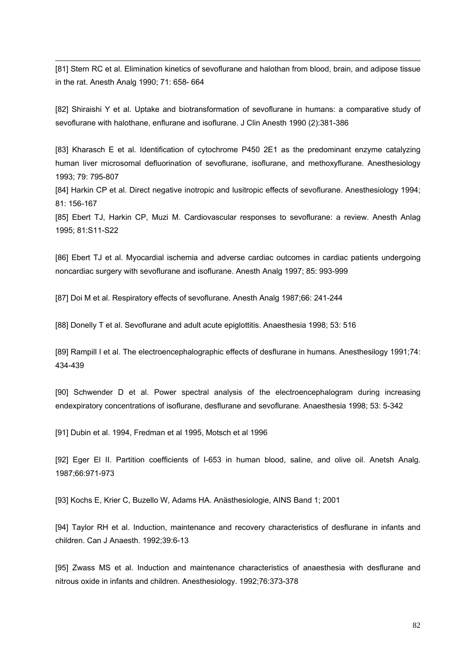[81] Stern RC et al. Elimination kinetics of sevoflurane and halothan from blood, brain, and adipose tissue in the rat. Anesth Analg 1990; 71: 658- 664

[82] Shiraishi Y et al. Uptake and biotransformation of sevoflurane in humans: a comparative study of sevoflurane with halothane, enflurane and isoflurane. J Clin Anesth 1990 (2):381-386

[83] Kharasch E et al. Identification of cytochrome P450 2E1 as the predominant enzyme catalyzing human liver microsomal defluorination of sevoflurane, isoflurane, and methoxyflurane. Anesthesiology 1993; 79: 795-807

[84] Harkin CP et al. Direct negative inotropic and lusitropic effects of sevoflurane. Anesthesiology 1994; 81: 156-167

[85] Ebert TJ, Harkin CP, Muzi M. Cardiovascular responses to sevoflurane: a review. Anesth Anlag 1995; 81:S11-S22

[86] Ebert TJ et al. Myocardial ischemia and adverse cardiac outcomes in cardiac patients undergoing noncardiac surgery with sevoflurane and isoflurane. Anesth Analg 1997; 85: 993-999

[87] Doi M et al. Respiratory effects of sevoflurane. Anesth Analg 1987;66: 241-244

[88] Donelly T et al. Sevoflurane and adult acute epiglottitis. Anaesthesia 1998; 53: 516

[89] Rampill I et al. The electroencephalographic effects of desflurane in humans. Anesthesilogy 1991;74: 434-439

[90] Schwender D et al. Power spectral analysis of the electroencephalogram during increasing endexpiratory concentrations of isoflurane, desflurane and sevoflurane. Anaesthesia 1998; 53: 5-342

[91] Dubin et al. 1994, Fredman et al 1995, Motsch et al 1996

1

[92] Eger El II. Partition coefficients of I-653 in human blood, saline, and olive oil. Anetsh Analg. 1987;66:971-973

[93] Kochs E, Krier C, Buzello W, Adams HA. Anästhesiologie, AINS Band 1; 2001

[94] Taylor RH et al. Induction, maintenance and recovery characteristics of desflurane in infants and children. Can J Anaesth. 1992;39:6-13

[95] Zwass MS et al. Induction and maintenance characteristics of anaesthesia with desflurane and nitrous oxide in infants and children. Anesthesiology. 1992;76:373-378

82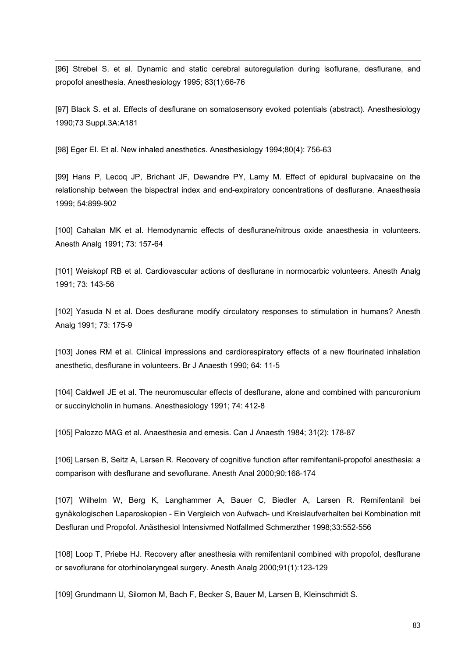[96] Strebel S. et al. Dynamic and static cerebral autoregulation during isoflurane, desflurane, and propofol anesthesia. Anesthesiology 1995; 83(1):66-76

[97] Black S. et al. Effects of desflurane on somatosensory evoked potentials (abstract). Anesthesiology 1990;73 Suppl.3A:A181

[98] Eger EI. Et al. New inhaled anesthetics. Anesthesiology 1994;80(4): 756-63

1

[99] Hans P, Lecoq JP, Brichant JF, Dewandre PY, Lamy M. Effect of epidural bupivacaine on the relationship between the bispectral index and end-expiratory concentrations of desflurane. Anaesthesia 1999; 54:899-902

[100] Cahalan MK et al. Hemodynamic effects of desflurane/nitrous oxide anaesthesia in volunteers. Anesth Analg 1991; 73: 157-64

[101] Weiskopf RB et al. Cardiovascular actions of desflurane in normocarbic volunteers. Anesth Analg 1991; 73: 143-56

[102] Yasuda N et al. Does desflurane modify circulatory responses to stimulation in humans? Anesth Analg 1991; 73: 175-9

[103] Jones RM et al. Clinical impressions and cardiorespiratory effects of a new flourinated inhalation anesthetic, desflurane in volunteers. Br J Anaesth 1990; 64: 11-5

[104] Caldwell JE et al. The neuromuscular effects of desflurane, alone and combined with pancuronium or succinylcholin in humans. Anesthesiology 1991; 74: 412-8

[105] Palozzo MAG et al. Anaesthesia and emesis. Can J Anaesth 1984; 31(2): 178-87

[106] Larsen B, Seitz A, Larsen R. Recovery of cognitive function after remifentanil-propofol anesthesia: a comparison with desflurane and sevoflurane. Anesth Anal 2000;90:168-174

[107] Wilhelm W, Berg K, Langhammer A, Bauer C, Biedler A, Larsen R. Remifentanil bei gynäkologischen Laparoskopien - Ein Vergleich von Aufwach- und Kreislaufverhalten bei Kombination mit Desfluran und Propofol. Anästhesiol Intensivmed Notfallmed Schmerzther 1998;33:552-556

[108] Loop T, Priebe HJ. Recovery after anesthesia with remifentanil combined with propofol, desflurane or sevoflurane for otorhinolaryngeal surgery. Anesth Analg 2000;91(1):123-129

[109] Grundmann U, Silomon M, Bach F, Becker S, Bauer M, Larsen B, Kleinschmidt S.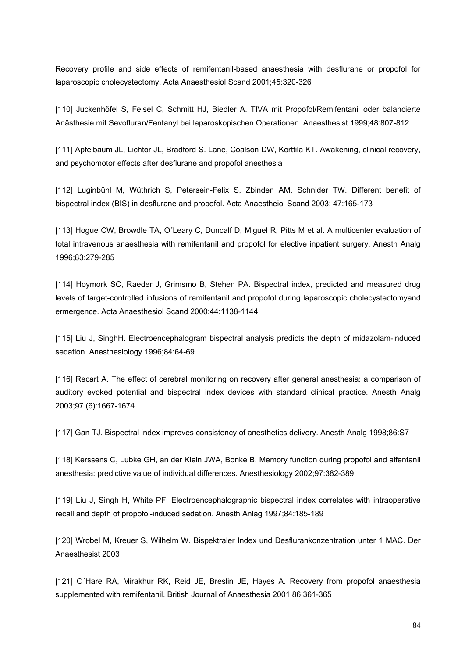1 Recovery profile and side effects of remifentanil-based anaesthesia with desflurane or propofol for laparoscopic cholecystectomy. Acta Anaesthesiol Scand 2001;45:320-326

[110] Juckenhöfel S, Feisel C, Schmitt HJ, Biedler A. TIVA mit Propofol/Remifentanil oder balancierte Anästhesie mit Sevofluran/Fentanyl bei laparoskopischen Operationen. Anaesthesist 1999;48:807-812

[111] Apfelbaum JL, Lichtor JL, Bradford S. Lane, Coalson DW, Korttila KT. Awakening, clinical recovery, and psychomotor effects after desflurane and propofol anesthesia

[112] Luginbühl M, Wüthrich S, Petersein-Felix S, Zbinden AM, Schnider TW. Different benefit of bispectral index (BIS) in desflurane and propofol. Acta Anaestheiol Scand 2003; 47:165-173

[113] Hogue CW, Browdle TA, O'Leary C, Duncalf D, Miguel R, Pitts M et al. A multicenter evaluation of total intravenous anaesthesia with remifentanil and propofol for elective inpatient surgery. Anesth Analg 1996;83:279-285

[114] Hoymork SC, Raeder J, Grimsmo B, Stehen PA. Bispectral index, predicted and measured drug levels of target-controlled infusions of remifentanil and propofol during laparoscopic cholecystectomyand ermergence. Acta Anaesthesiol Scand 2000;44:1138-1144

[115] Liu J, SinghH. Electroencephalogram bispectral analysis predicts the depth of midazolam-induced sedation. Anesthesiology 1996;84:64-69

[116] Recart A. The effect of cerebral monitoring on recovery after general anesthesia: a comparison of auditory evoked potential and bispectral index devices with standard clinical practice. Anesth Analg 2003;97 (6):1667-1674

[117] Gan TJ. Bispectral index improves consistency of anesthetics delivery. Anesth Analg 1998;86:S7

[118] Kerssens C, Lubke GH, an der Klein JWA, Bonke B. Memory function during propofol and alfentanil anesthesia: predictive value of individual differences. Anesthesiology 2002;97:382-389

[119] Liu J, Singh H, White PF. Electroencephalographic bispectral index correlates with intraoperative recall and depth of propofol-induced sedation. Anesth Anlag 1997;84:185-189

[120] Wrobel M, Kreuer S, Wilhelm W. Bispektraler Index und Desflurankonzentration unter 1 MAC. Der Anaesthesist 2003

[121] O´Hare RA, Mirakhur RK, Reid JE, Breslin JE, Hayes A. Recovery from propofol anaesthesia supplemented with remifentanil. British Journal of Anaesthesia 2001;86:361-365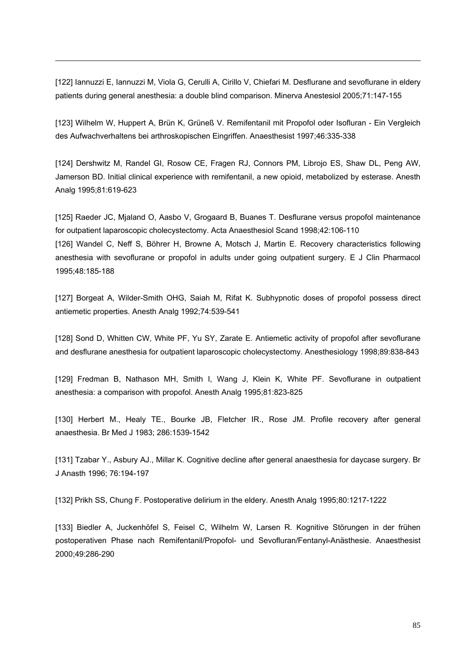[122] Iannuzzi E, Iannuzzi M, Viola G, Cerulli A, Cirillo V, Chiefari M. Desflurane and sevoflurane in eldery patients during general anesthesia: a double blind comparison. Minerva Anestesiol 2005;71:147-155

1

[123] Wilhelm W, Huppert A, Brün K, Grüneß V. Remifentanil mit Propofol oder Isofluran - Ein Vergleich des Aufwachverhaltens bei arthroskopischen Eingriffen. Anaesthesist 1997;46:335-338

[124] Dershwitz M, Randel GI, Rosow CE, Fragen RJ, Connors PM, Librojo ES, Shaw DL, Peng AW, Jamerson BD. Initial clinical experience with remifentanil, a new opioid, metabolized by esterase. Anesth Analg 1995;81:619-623

[125] Raeder JC, Mjaland O, Aasbo V, Grogaard B, Buanes T. Desflurane versus propofol maintenance for outpatient laparoscopic cholecystectomy. Acta Anaesthesiol Scand 1998;42:106-110 [126] Wandel C, Neff S, Böhrer H, Browne A, Motsch J, Martin E. Recovery characteristics following anesthesia with sevoflurane or propofol in adults under going outpatient surgery. E J Clin Pharmacol 1995;48:185-188

[127] Borgeat A, Wilder-Smith OHG, Saiah M, Rifat K, Subhypnotic doses of propofol possess direct antiemetic properties. Anesth Analg 1992;74:539-541

[128] Sond D, Whitten CW, White PF, Yu SY, Zarate E. Antiemetic activity of propofol after sevoflurane and desflurane anesthesia for outpatient laparoscopic cholecystectomy. Anesthesiology 1998;89:838-843

[129] Fredman B, Nathason MH, Smith I, Wang J, Klein K, White PF. Sevoflurane in outpatient anesthesia: a comparison with propofol. Anesth Analg 1995;81:823-825

[130] Herbert M., Healy TE., Bourke JB, Fletcher IR., Rose JM. Profile recovery after general anaesthesia. Br Med J 1983; 286:1539-1542

[131] Tzabar Y., Asbury AJ., Millar K. Cognitive decline after general anaesthesia for daycase surgery. Br J Anasth 1996; 76:194-197

[132] Prikh SS, Chung F. Postoperative delirium in the eldery. Anesth Analg 1995;80:1217-1222

[133] Biedler A, Juckenhöfel S, Feisel C, Wilhelm W, Larsen R. Kognitive Störungen in der frühen postoperativen Phase nach Remifentanil/Propofol- und Sevofluran/Fentanyl-Anästhesie. Anaesthesist 2000;49:286-290